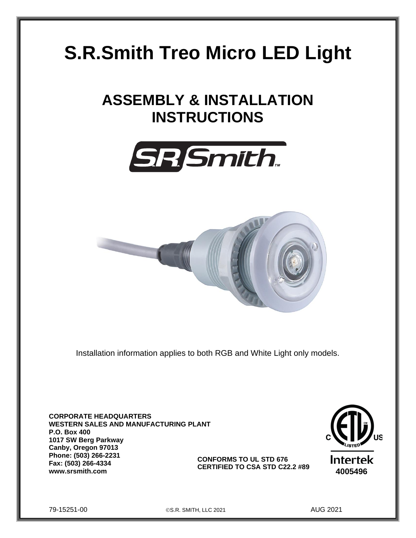# **S.R.Smith Treo Micro LED Light**

# **ASSEMBLY & INSTALLATION INSTRUCTIONS**





Installation information applies to both RGB and White Light only models.

**CORPORATE HEADQUARTERS WESTERN SALES AND MANUFACTURING PLANT P.O. Box 400 1017 SW Berg Parkway Canby, Oregon 97013 Phone: (503) 266-2231 Fax: (503) 266-4334 www.srsmith.com EXILLED IO CSA SID CZZ.2 #89** 4005496 **CONFORMS TO UL STD 676 CERTIFIED TO CSA STD C22.2 #89**



79-15251-00 ©S.R. SMITH, LLC 2021 AUG 2021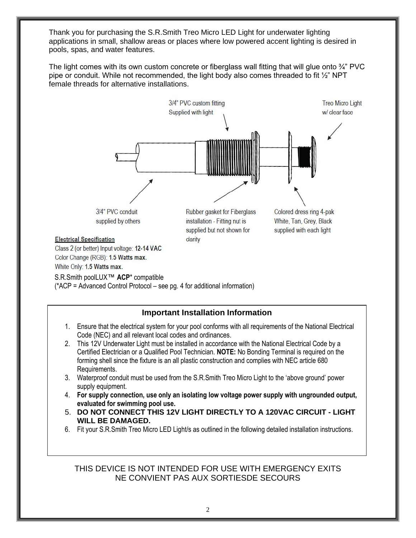Thank you for purchasing the S.R.Smith Treo Micro LED Light for underwater lighting applications in small, shallow areas or places where low powered accent lighting is desired in pools, spas, and water features.

The light comes with its own custom concrete or fiberglass wall fitting that will glue onto  $\frac{3}{4}$ " PVC pipe or conduit. While not recommended, the light body also comes threaded to fit ½" NPT female threads for alternative installations.



S.R.Smith poolLUX™ **ACP**\* compatible

(\*ACP = Advanced Control Protocol – see pg. 4 for additional information)

### **Important Installation Information**

- 1. Ensure that the electrical system for your pool conforms with all requirements of the National Electrical Code (NEC) and all relevant local codes and ordinances.
- 2. This 12V Underwater Light must be installed in accordance with the National Electrical Code by a Certified Electrician or a Qualified Pool Technician. **NOTE:** No Bonding Terminal is required on the forming shell since the fixture is an all plastic construction and complies with NEC article 680 Requirements.
- 3. Waterproof conduit must be used from the S.R.Smith Treo Micro Light to the 'above ground' power supply equipment.
- 4. **For supply connection, use only an isolating low voltage power supply with ungrounded output, evaluated for swimming pool use.**
- 5. **DO NOT CONNECT THIS 12V LIGHT DIRECTLY TO A 120VAC CIRCUIT - LIGHT WILL BE DAMAGED.**
- 6. Fit your S.R.Smith Treo Micro LED Light/s as outlined in the following detailed installation instructions.

### THIS DEVICE IS NOT INTENDED FOR USE WITH EMERGENCY EXITS NE CONVIENT PAS AUX SORTIESDE SECOURS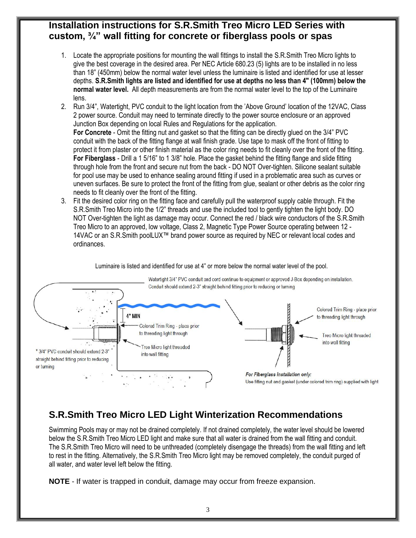# **Installation instructions for S.R.Smith Treo Micro LED Series with custom, ¾" wall fitting for concrete or fiberglass pools or spas**

- 1. Locate the appropriate positions for mounting the wall fittings to install the S.R.Smith Treo Micro lights to give the best coverage in the desired area. Per NEC Article 680.23 (5) lights are to be installed in no less than 18" (450mm) below the normal water level unless the luminaire is listed and identified for use at lesser depths. **S.R.Smith lights are listed and identified for use at depths no less than 4" (100mm) below the normal water level.** All depth measurements are from the normal water level to the top of the Luminaire lens.
- 2. Run 3/4", Watertight, PVC conduit to the light location from the 'Above Ground' location of the 12VAC, Class 2 power source. Conduit may need to terminate directly to the power source enclosure or an approved Junction Box depending on local Rules and Regulations for the application. **For Concrete** - Omit the fitting nut and gasket so that the fitting can be directly glued on the 3/4" PVC conduit with the back of the fitting flange at wall finish grade. Use tape to mask off the front of fitting to protect it from plaster or other finish material as the color ring needs to fit cleanly over the front of the fitting. **For Fiberglass** - Drill a 1 5/16" to 1 3/8" hole. Place the gasket behind the fitting flange and slide fitting through hole from the front and secure nut from the back - DO NOT Over-tighten. Silicone sealant suitable for pool use may be used to enhance sealing around fitting if used in a problematic area such as curves or uneven surfaces. Be sure to protect the front of the fitting from glue, sealant or other debris as the color ring needs to fit cleanly over the front of the fitting.
- 3. Fit the desired color ring on the fitting face and carefully pull the waterproof supply cable through. Fit the S.R.Smith Treo Micro into the 1/2" threads and use the included tool to gently tighten the light body. DO NOT Over-tighten the light as damage may occur. Connect the red / black wire conductors of the S.R.Smith Treo Micro to an approved, low voltage, Class 2, Magnetic Type Power Source operating between 12 - 14VAC or an S.R.Smith poolLUX™ brand power source as required by NEC or relevant local codes and ordinances.

Luminaire is listed and identified for use at 4" or more below the normal water level of the pool.



# **S.R.Smith Treo Micro LED Light Winterization Recommendations**

Swimming Pools may or may not be drained completely. If not drained completely, the water level should be lowered below the S.R.Smith Treo Micro LED light and make sure that all water is drained from the wall fitting and conduit. The S.R.Smith Treo Micro will need to be unthreaded (completely disengage the threads) from the wall fitting and left to rest in the fitting. Alternatively, the S.R.Smith Treo Micro light may be removed completely, the conduit purged of all water, and water level left below the fitting.

**NOTE** - If water is trapped in conduit, damage may occur from freeze expansion.